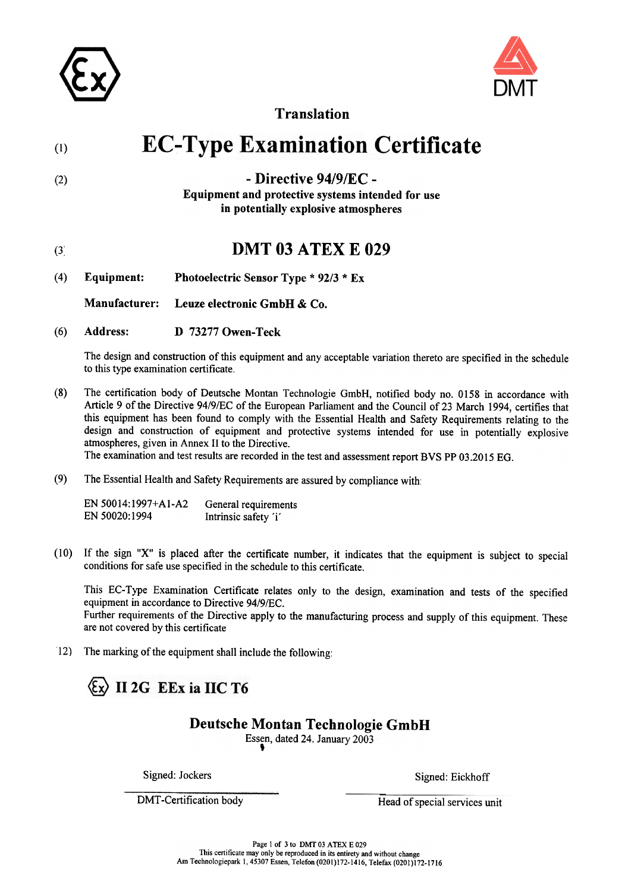



Translation

#### **EC-Type Examination Certificate** (I)

 $(2)$  - Directive 94/9/EC -

Equipment and protective systems intended for use in potentially explosive atmospheres

## (3) **DMT 03 ATEX E 029**

(4) Equipment: Photoelectric Sensor Type \* 92/3 \* Ex

Manufacturer: Leuze electronic GmbH & Co.

(6) Address: D 73277 Owen-Teck

The design and construction of this equipment and any acceptable variation thereto are specified in the schedule to this type examination certificate.

(8) The certification body of Deutsche Montan Technologie GmbH, notified body no.0158 in accordance with Article 9 of the Directive 94/9/EC of the European Parliament and the Council of 23 March 1994, certifies that this equipment has been found to comply with the Essential Health and Safety Requirements relating to the design and construction of equipment and protective systems intended for use in potentially explosive atmospheres, given in Annex 11 to the Directive.

The examination and test results are recorded in the test and assessment report BVS PP 03.2015 EG.

(9) The Essential Health and Safety Requirements are assured by compliance with'

EN 50014: 1997+A1-A2 EN 50020: 1994 General requirements lntrinsic safety 'i'

 $(10)$  If the sign "X" is placed after the certificate number, it indicates that the equipment is subject to special conditions for safe use specified in the schedule to this certificate.

This EC-Type Examination Certificate relates only to the design, examination and tests of the specified equipment in accordance to Directive 94/9/EC. Further requirements of the Directive apply to the manufacturing process and supply of this equipment. These are not covered by this certificate

12) The marking of the equipment shall include the following:

## $\left\langle \text{E} \right\rangle$  II 2G EEx ia IIC T6

## Deutsche Montan Technologie GmbH

Essen, dated 24. January 2003 ,

Signed: Jockers Signed: Eickhoff

DMT-Certification body Head of special services unit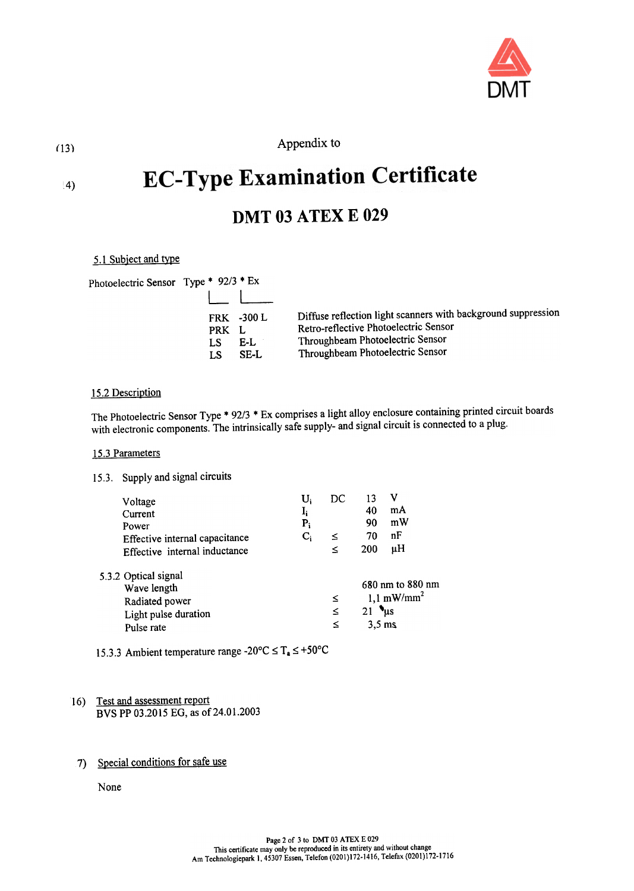

Appendix to (13)

# **EC-Type Examination Certificate**

# **DMT 03 ATEX E 029**

#### 5.1 Subject and type

| Photoelectric Sensor Type * 92/3 * Ex |             |                                  |                                                                                                                                                                                |
|---------------------------------------|-------------|----------------------------------|--------------------------------------------------------------------------------------------------------------------------------------------------------------------------------|
|                                       | PRK L<br>LS | <b>FRK -300 L</b><br>E-L<br>SE-L | Diffuse reflection light scanners with background suppression<br>Retro-reflective Photoelectric Sensor<br>Throughbeam Photoelectric Sensor<br>Throughbeam Photoelectric Sensor |

#### 15.2 Description

The Photoelectric Sensor Type \* 92/3 \* Ex comprises a light alloy enclosure containing printed circuit boards with electronic components. The intrinsically safe supply- and signal circuit is connected to a plug.

#### 15.3 Parameters

#### 15.3. Supply and signal circuits

| Voltage<br>Current<br>Power<br>Effective internal capacitance<br>Effective internal inductance | U.<br>$\mathbf{I}_{\mathbf{i}}$<br>$P_i$ | DC<br>≤<br>≤ | 13<br>40<br>90<br>70<br>200                                                      | mA<br>mW<br>nF<br>μH |  |
|------------------------------------------------------------------------------------------------|------------------------------------------|--------------|----------------------------------------------------------------------------------|----------------------|--|
| 5.3.2 Optical signal<br>Wave length<br>Radiated power<br>Light pulse duration<br>Pulse rate    |                                          | ≤<br>≤<br>≤  | 680 nm to 880 nm<br>$1,1$ mW/mm <sup>2</sup><br>$21$ $\mu s$<br>$3.5 \text{ ms}$ |                      |  |

<sup>15.3.3</sup> Ambient temperature range -20 $\textdegree$ C  $\leq$  T<sub>a</sub>  $\leq$  +50 $\textdegree$ C

#### 16) Test and assessment report BVS PP 03.2015 EG, as of 24.01.2003

### 7) Special conditions for safe use

None

14)